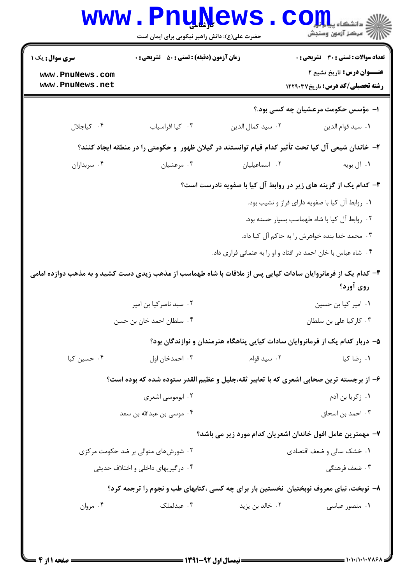|                                                                                                               | www.PnuNews                                        |                           | ی دانشکاه پی <mark>ا با بار</mark><br>أأأآه مركز آزمون وسنجش                                       |  |
|---------------------------------------------------------------------------------------------------------------|----------------------------------------------------|---------------------------|----------------------------------------------------------------------------------------------------|--|
|                                                                                                               | حضرت علی(ع): دانش راهبر نیکویی برای ایمان است      |                           |                                                                                                    |  |
| سری سوال: یک ۱                                                                                                | <b>زمان آزمون (دقیقه) : تستی : 50 ٪ تشریحی : 0</b> |                           | <b>تعداد سوالات : تستی : 30 ٪ تشریحی : 0</b>                                                       |  |
| www.PnuNews.com<br>www.PnuNews.net                                                                            |                                                    |                           | عنــوان درس: تاریخ تشیع ۲<br><b>رشته تحصیلی/کد درس:</b> تاریخ ۱۲۲۹۰۳۷                              |  |
|                                                                                                               |                                                    |                           | ا– مؤسس حکومت مرعشیان چه کسی بود.؟                                                                 |  |
| ۰۴ کیاجلال                                                                                                    | ٠٣ كيا افراسياب                                    | ٠٢ سيد كمال الدين         | ٠١. سيد قوام الدين                                                                                 |  |
|                                                                                                               |                                                    |                           | ۲– خاندان شیعی آل کیا تحت تأثیر کدام قیام توانستند در گیلان ظهور  و حکومتی را در منطقه ایجاد کنند؟ |  |
| ۰۴ سربداران                                                                                                   | ۰۳ مرعشیان                                         | ٠٢ اسماعيليان             | ۱. آل بويه                                                                                         |  |
|                                                                                                               |                                                    |                           | ۳- کدام یک از گزینه های زیر در روابط آل کیا با صفویه نادرست است؟                                   |  |
|                                                                                                               |                                                    |                           | ۰۱ روابط آل کیا با صفویه دارای فراز و نشیب بود.                                                    |  |
|                                                                                                               |                                                    |                           | ۰۲ روابط آل کیا با شاه طهماسب بسیار حسنه بود.                                                      |  |
|                                                                                                               |                                                    |                           | ۰۳ محمد خدا بنده خواهرش را به حاکم آل کیا داد.                                                     |  |
|                                                                                                               |                                                    |                           | ۰۴ شاه عباس با خان احمد در افتاد و او را به عثمانی فراری داد.                                      |  |
| ۴– کدام یک از فرمانروایان سادات کیایی پس از ملاقات با شاه طهماسب از مذهب زیدی دست کشید و به مذهب دوازده امامی |                                                    |                           |                                                                                                    |  |
|                                                                                                               |                                                    |                           | روی آورد؟                                                                                          |  |
| ۰۲ سید ناصرکیا بن امیر                                                                                        |                                                    | ٠١. امير كيا بن حسين      |                                                                                                    |  |
| ۰۴ سلطان احمد خان بن حسن                                                                                      |                                                    | ۰۳ کارکیا علی بن سلطان    |                                                                                                    |  |
|                                                                                                               |                                                    |                           | ۵– دربار کدام یک از فرمانروایان سادات کیایی پناهگاه هنرمندان و نوازندگان بود؟                      |  |
| ۰۴ حسین کیا                                                                                                   | ۰۳ احمدخان اول                                     | ۰۲ سید قوام               | ۰۱ رضا کیا                                                                                         |  |
|                                                                                                               |                                                    |                           | ۶– از برجسته ترین صحابی اشعری که با تعابیر ثقه،جلیل و عظیم القدر ستوده شده که بوده است؟            |  |
| ۰۲ ابوموسی اشعری                                                                                              |                                                    | ۰۱ زکریا بن آدم           |                                                                                                    |  |
|                                                                                                               | ۰۴ موسی بن عبدالله بن سعد                          |                           | ۰۳ احمد بن اسحاق                                                                                   |  |
|                                                                                                               |                                                    |                           | ۷– مهمترین عامل افول خاندان اشعریان کدام مورد زیر می باشد؟                                         |  |
|                                                                                                               | ۰۲ شورشهای متوالی بر ضد حکومت مرکزی                | ۰۱ خشک سالی و ضعف اقتصادی |                                                                                                    |  |
| ۰۴ درگیریهای داخلی و اختلاف حدیثی                                                                             |                                                    |                           | ۰۳ ضعف فرهنگ <sub>ی</sub>                                                                          |  |
| ۸– نوبخت، نیای معروف نوبختیان  نخستین بار برای چه کسی ،کتابهای طب و نجوم را ترجمه کرد؟                        |                                                    |                           |                                                                                                    |  |
| ۰۴ مروان                                                                                                      | ۰۳ عبدلملک                                         | ۰۲ خالد بن يزيد           | ۰۱ منصور عباسی                                                                                     |  |
|                                                                                                               |                                                    |                           |                                                                                                    |  |
|                                                                                                               |                                                    |                           |                                                                                                    |  |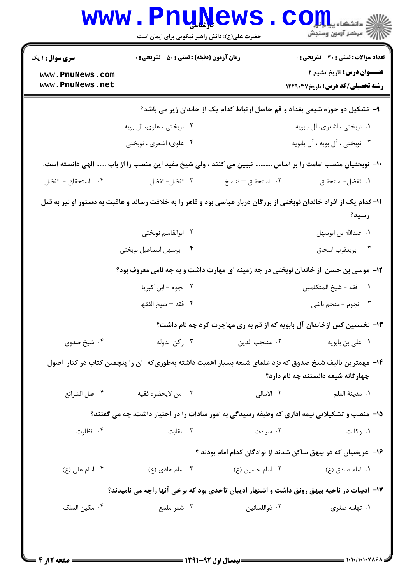| <b>سری سوال : ۱ یک</b>                                                                                                                        | <b>زمان آزمون (دقیقه) : تستی : 50 ٪ تشریحی : 0</b> |                               | <b>تعداد سوالات : تستی : 30 ٪ تشریحی : 0</b>                                                                                 |  |  |  |
|-----------------------------------------------------------------------------------------------------------------------------------------------|----------------------------------------------------|-------------------------------|------------------------------------------------------------------------------------------------------------------------------|--|--|--|
| www.PnuNews.com<br>www.PnuNews.net                                                                                                            |                                                    |                               | <b>عنـــوان درس:</b> تاریخ تشیع ۲<br><b>رشته تحصیلی/کد درس:</b> تاریخ ۱۲۲۹۰۳۷                                                |  |  |  |
| ۹- تشکیل دو حوزه شیعی بغداد و قم حاصل ارتباط کدام یک از خاندان زیر می باشد؟                                                                   |                                                    |                               |                                                                                                                              |  |  |  |
|                                                                                                                                               | ۰۲ نوبختی ، علوی، آل بویه                          |                               | ۰۱ نوبختی ، اشعری، آل بابویه                                                                                                 |  |  |  |
|                                                                                                                                               | ۰۴ علوی؛ اشعری ، نوبختی                            |                               | ۰۳ نوبختی ، آل بویه ، آل بابویه                                                                                              |  |  |  |
|                                                                                                                                               |                                                    |                               | ∙ا− نوبختیان منصب امامت را بر اساس ………. تبیین می کنند ، ولی شیخ مفید این منصب را از باب …… الهی دانسته است.                  |  |  |  |
| ۰۴ استحقاق - تفضل                                                                                                                             | ۰۳ تفضل- تفضل                                      | ۰۲ استحقاق <sup>—</sup> تناسخ | ٠١. تفضل-استحقاق                                                                                                             |  |  |  |
|                                                                                                                                               |                                                    |                               | 11–کدام یک از افراد خاندان نوبختی از بزرگان دربار عباسی بود و قاهر را به خلافت رساند و عاقبت به دستور او نیز به قتل<br>رسيد؟ |  |  |  |
|                                                                                                                                               | ۰۲ ابوالقاسم نوبختی                                |                               | ٠١ عبدالله بن ابوسهل                                                                                                         |  |  |  |
|                                                                                                                                               | ۰۴ ابوسهل اسماعیل نوبختی                           |                               | ۰۳ ابويعقوب اسحاق                                                                                                            |  |  |  |
|                                                                                                                                               |                                                    |                               | ۱۲- موسی بن حسن  ز خاندان نوبختی در چه زمینه ای مهارت داشت و به چه نامی معروف بود؟                                           |  |  |  |
|                                                                                                                                               | ٠٢ نجوم - ابن كبريا                                |                               | ٠١ فقه - شيخ المتكلمين                                                                                                       |  |  |  |
|                                                                                                                                               | ۰۴ فقه – شيخ الفقها                                |                               | ۰۳ نجوم - منجم باشی                                                                                                          |  |  |  |
|                                                                                                                                               |                                                    |                               | ۱۳- نخستین کس ازخاندان آل بابویه که از قم به ری مهاجرت کرد چه نام داشت؟                                                      |  |  |  |
| ۰۴ شيخ صدوق                                                                                                                                   | ۰۳ رکن الدوله                                      | ۰۲ منتجب الدين                | ۰۱ عل <sub>ی</sub> بن بابویه                                                                                                 |  |  |  |
| ۱۴– مهمترین تالیف شیخ صدوق که نزد علمای شیعه بسیار اهمیت داشته بهطوریکه آن را پنچمین کتاب در کنار  اصول<br>چهارگانه شیعه دانستند چه نام دارد؟ |                                                    |                               |                                                                                                                              |  |  |  |
| ۰۴ علل الشرائع                                                                                                                                | ۰۳ من لايحضره فقيه                                 | ۲. الامالی                    | ٠١. مدينة العلم                                                                                                              |  |  |  |
|                                                                                                                                               |                                                    |                               | ۱۵– منصب و تشکیلاتی نیمه اداری که وظیفه رسیدگی به امور سادات را در اختیار داشت، چه می گفتند؟                                 |  |  |  |
| ۰۴ نظارت                                                                                                                                      | ۰۳ نقابت                                           | ۰۲ سیادت                      | ۰۱ وکالت                                                                                                                     |  |  |  |
|                                                                                                                                               |                                                    |                               | ۱۶– عریضیان که در بیهق ساکن شدند از نوادگان کدام امام بودند ؟                                                                |  |  |  |
| ۰۴ امام علی (ع)                                                                                                                               | ۰۳ امام هادی (ع)                                   | ۰۲ امام حسین (ع)              | ۰۱ امام صادق (ع)                                                                                                             |  |  |  |
|                                                                                                                                               |                                                    |                               | ۱۷- ادبیات در ناحیه بیهق رونق داشت و اشتهار ادیبان تاحدی بود که برخی آنها راچه می نامیدند؟                                   |  |  |  |
| ۰۴ مکین الملک                                                                                                                                 | ۰۳ شعر ملمع                                        | ۰۲ ذواللسانين                 | ۰۱ تهامه صغری                                                                                                                |  |  |  |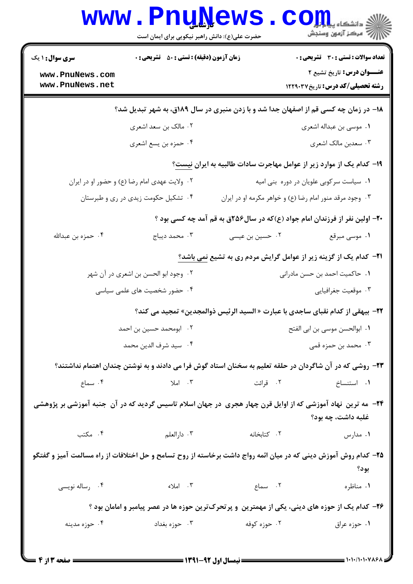|                                                                                                                                  | www.PnuNews<br>حضرت علی(ع): دانش راهبر نیکویی برای ایمان است |                                                                                                          | الاد دانشگاه پیام <mark>تور</mark><br>الاقتصاد آزمهن وسنجش             |  |  |  |
|----------------------------------------------------------------------------------------------------------------------------------|--------------------------------------------------------------|----------------------------------------------------------------------------------------------------------|------------------------------------------------------------------------|--|--|--|
| <b>سری سوال : ۱ یک</b>                                                                                                           | <b>زمان آزمون (دقیقه) : تستی : 50 ٪ تشریحی : 0</b>           |                                                                                                          | <b>تعداد سوالات : تستی : 30 ٪ تشریحی : 0</b>                           |  |  |  |
| www.PnuNews.com<br>www.PnuNews.net                                                                                               |                                                              |                                                                                                          | عنـــوان درس: تاریخ تشیع ۲<br><b>رشته تحصیلی/کد درس:</b> تاریخ ۱۲۲۹۰۳۷ |  |  |  |
| ۱۸- در زمان چه کسی قم از اصفهان جدا شد و با زدن منبری در سال ۱۸۹ق، به شهر تبدیل شد؟                                              |                                                              |                                                                                                          |                                                                        |  |  |  |
| ۰۲ مالک بن سعد اشعری                                                                                                             |                                                              | ۰۱ موسى بن عبداله اشعرى                                                                                  |                                                                        |  |  |  |
|                                                                                                                                  | ۰۴ حمزه بن يسع اشعري                                         |                                                                                                          | ۰۳ سعدبن مالک اشعری                                                    |  |  |  |
|                                                                                                                                  |                                                              | ۱۹– کدام یک از موارد زیر از عوامل مهاجرت سادات طالبیه به ایران نیست؟                                     |                                                                        |  |  |  |
| ۰۲ ولايت عهدى امام رضا (ع) و حضور او در ايران                                                                                    |                                                              | ٠١ سياست سركوبي علويان در دوره بني اميه                                                                  |                                                                        |  |  |  |
| ۰۴ تشکیل حکومت زیدی در ری و طبرستان                                                                                              |                                                              | ۰۳ وجود مرقد منور امام رضا (ع) و خواهر مکرمه او در ایران                                                 |                                                                        |  |  |  |
|                                                                                                                                  |                                                              | ۲۰- اولین نفر از فرزندان امام جواد (ع)که در سال۲۵۶ق به قم آمد چه کسی بود ؟                               |                                                                        |  |  |  |
| ۰۴ حمزه بن عبدالله                                                                                                               | ۰۳ محمد دیباج                                                | ۰۲ حسین بن عیسی                                                                                          | ۰۱ موسی مبرقع                                                          |  |  |  |
|                                                                                                                                  |                                                              | <b>۲۱</b> - کدام یک از گزینه زیر از عوامل گرایش مردم ری به تشیع <u>نمی</u> باشد؟                         |                                                                        |  |  |  |
|                                                                                                                                  | ۰۲ وجود ابو الحسن بن اشعری در آن شهر                         | ٠١. حاكميت احمد بن حسن مادراني                                                                           |                                                                        |  |  |  |
| ۰۴ حضور شخصیت های علمی سیاسی                                                                                                     |                                                              | ۰۳ موقعیت جغرافیایی                                                                                      |                                                                        |  |  |  |
|                                                                                                                                  |                                                              | 22- بيهقي از كدام نقباي ساجدي با عبارت « السيد الرئيس ذوالمجدين» تمجيد مي كند؟                           |                                                                        |  |  |  |
| ۰۲ ابومحمد حسین بن احمد                                                                                                          |                                                              | ٠١. ابوالحسن موسى بن ابي الفتح                                                                           |                                                                        |  |  |  |
|                                                                                                                                  | ۰۴ سيد شرف الدين محمد                                        | ۰۳ محمد بن حمزه قمی                                                                                      |                                                                        |  |  |  |
|                                                                                                                                  |                                                              | ۲۳– روشی که در آن شاگردان در حلقه تعلیم به سخنان استاد گوش فرا می دادند و به نوشتن چندان اهتمام نداشتند؟ |                                                                        |  |  |  |
|                                                                                                                                  |                                                              | ۱. استنساخ ۱. قرائت اسماع (۲. قرائت اسماع) می شماع (۲. قرائت اسماع)                                      |                                                                        |  |  |  |
| ۲۴- مه ترین نهاد آموزشی که از اوایل قرن چهار هجری در جهان اسلام تاسیس گردید که در آن جنبه آموزشی بر پژوهشی<br>غلبه داشت، چه بود؟ |                                                              |                                                                                                          |                                                                        |  |  |  |
|                                                                                                                                  |                                                              | ۰۱ مدارس مکتب ۲ کتابخانه مسلس ۲۰ دارالعلم مسلم ۲۰ مکتب <b>۲۰</b>                                         |                                                                        |  |  |  |
| ۲۵– کدام روش آموزش دینی که در میان ائمه رواج داشت برخاسته از روح تسامح و حل اختلافات از راه مسالمت آمیز و گفتگو<br>بود؟          |                                                              |                                                                                                          |                                                                        |  |  |  |
| ۰۴ رساله نویسی                                                                                                                   |                                                              | ١. مناظره مسماع من الملاء الملاء الملاء الملاء الملاء الملاء الملاء الملاء الملاء الملاء الملاء المل     |                                                                        |  |  |  |
| ۲۶– کدام یک از حوزه های دینی، یکی از مهمترین ًو پرتحرکترین حوزه ها در عصر پیامبر و امامان بود ؟                                  |                                                              |                                                                                                          |                                                                        |  |  |  |
| ۰۴ حوزه مدينه                                                                                                                    |                                                              | ۰۲ حوزه کوفه در سال ۲۰۰۳ حوزه بغداد                                                                      | ۰۱ حوزه عراق                                                           |  |  |  |
|                                                                                                                                  |                                                              |                                                                                                          |                                                                        |  |  |  |